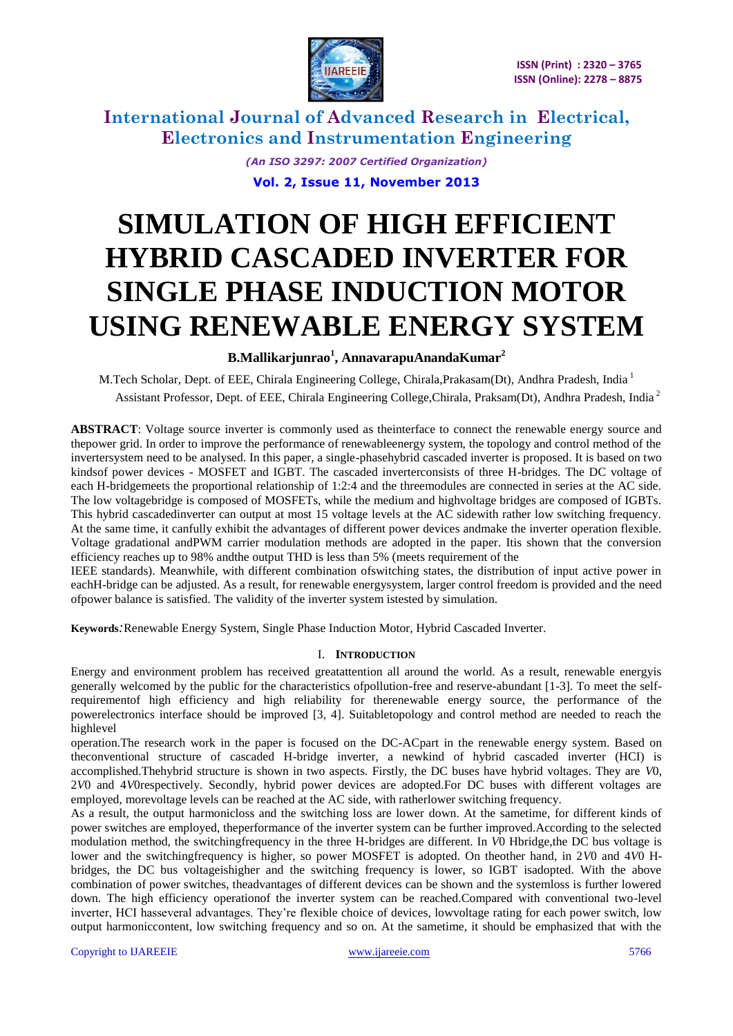

> *(An ISO 3297: 2007 Certified Organization)* **Vol. 2, Issue 11, November 2013**

# **SIMULATION OF HIGH EFFICIENT HYBRID CASCADED INVERTER FOR SINGLE PHASE INDUCTION MOTOR USING RENEWABLE ENERGY SYSTEM**

## **B.Mallikarjunrao<sup>1</sup> , AnnavarapuAnandaKumar<sup>2</sup>**

M.Tech Scholar, Dept. of EEE, Chirala Engineering College, Chirala,Prakasam(Dt), Andhra Pradesh, India <sup>1</sup> Assistant Professor, Dept. of EEE, Chirala Engineering College,Chirala, Praksam(Dt), Andhra Pradesh, India <sup>2</sup>

**ABSTRACT**: Voltage source inverter is commonly used as theinterface to connect the renewable energy source and thepower grid. In order to improve the performance of renewableenergy system, the topology and control method of the invertersystem need to be analysed. In this paper, a single-phasehybrid cascaded inverter is proposed. It is based on two kindsof power devices - MOSFET and IGBT. The cascaded inverterconsists of three H-bridges. The DC voltage of each H-bridgemeets the proportional relationship of 1:2:4 and the threemodules are connected in series at the AC side. The low voltagebridge is composed of MOSFETs, while the medium and highvoltage bridges are composed of IGBTs. This hybrid cascadedinverter can output at most 15 voltage levels at the AC sidewith rather low switching frequency. At the same time, it canfully exhibit the advantages of different power devices andmake the inverter operation flexible. Voltage gradational andPWM carrier modulation methods are adopted in the paper. Itis shown that the conversion efficiency reaches up to 98% andthe output THD is less than 5% (meets requirement of the

IEEE standards). Meanwhile, with different combination ofswitching states, the distribution of input active power in eachH-bridge can be adjusted. As a result, for renewable energysystem, larger control freedom is provided and the need ofpower balance is satisfied. The validity of the inverter system istested by simulation.

**Keywords***:*Renewable Energy System, Single Phase Induction Motor, Hybrid Cascaded Inverter.

## I. **INTRODUCTION**

Energy and environment problem has received greatattention all around the world. As a result, renewable energyis generally welcomed by the public for the characteristics ofpollution-free and reserve-abundant [1-3]. To meet the selfrequirementof high efficiency and high reliability for therenewable energy source, the performance of the powerelectronics interface should be improved [3, 4]. Suitabletopology and control method are needed to reach the highlevel

operation.The research work in the paper is focused on the DC-ACpart in the renewable energy system. Based on theconventional structure of cascaded H-bridge inverter, a newkind of hybrid cascaded inverter (HCI) is accomplished.Thehybrid structure is shown in two aspects. Firstly, the DC buses have hybrid voltages. They are *V*0, 2*V*0 and 4*V*0respectively. Secondly, hybrid power devices are adopted.For DC buses with different voltages are employed, morevoltage levels can be reached at the AC side, with ratherlower switching frequency.

As a result, the output harmonicloss and the switching loss are lower down. At the sametime, for different kinds of power switches are employed, theperformance of the inverter system can be further improved.According to the selected modulation method, the switchingfrequency in the three H-bridges are different. In *V*0 Hbridge,the DC bus voltage is lower and the switchingfrequency is higher, so power MOSFET is adopted. On theother hand, in 2*V*0 and 4*V*0 Hbridges, the DC bus voltageishigher and the switching frequency is lower, so IGBT isadopted. With the above combination of power switches, theadvantages of different devices can be shown and the systemloss is further lowered down. The high efficiency operationof the inverter system can be reached.Compared with conventional two-level inverter, HCI hasseveral advantages. They"re flexible choice of devices, lowvoltage rating for each power switch, low output harmoniccontent, low switching frequency and so on. At the sametime, it should be emphasized that with the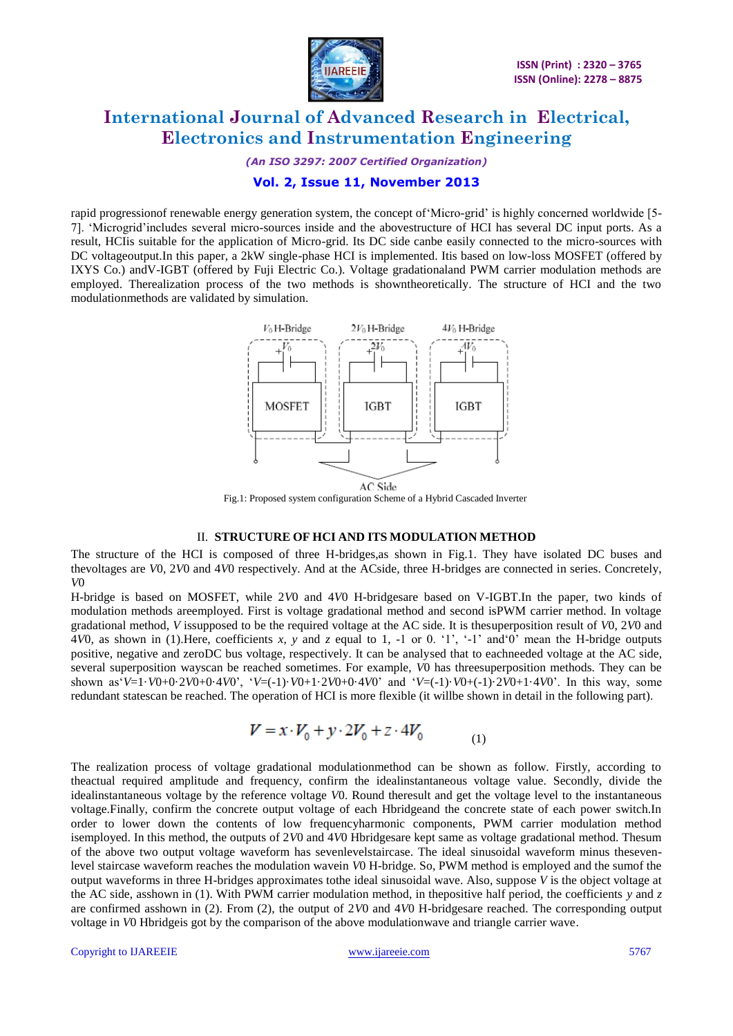

*(An ISO 3297: 2007 Certified Organization)*

## **Vol. 2, Issue 11, November 2013**

rapid progressionof renewable energy generation system, the concept of Micro-grid' is highly concerned worldwide [5-7]. "Microgrid"includes several micro-sources inside and the abovestructure of HCI has several DC input ports. As a result, HCIis suitable for the application of Micro-grid. Its DC side canbe easily connected to the micro-sources with DC voltageoutput.In this paper, a 2kW single-phase HCI is implemented. Itis based on low-loss MOSFET (offered by IXYS Co.) andV-IGBT (offered by Fuji Electric Co.). Voltage gradationaland PWM carrier modulation methods are employed. Therealization process of the two methods is showntheoretically. The structure of HCI and the two modulationmethods are validated by simulation.



Fig.1: Proposed system configuration Scheme of a Hybrid Cascaded Inverter

#### II. **STRUCTURE OF HCI AND ITS MODULATION METHOD**

The structure of the HCI is composed of three H-bridges,as shown in Fig.1. They have isolated DC buses and thevoltages are *V*0, 2*V*0 and 4*V*0 respectively. And at the ACside, three H-bridges are connected in series. Concretely, *V*0

H-bridge is based on MOSFET, while 2*V*0 and 4*V*0 H-bridgesare based on V-IGBT.In the paper, two kinds of modulation methods areemployed. First is voltage gradational method and second isPWM carrier method. In voltage gradational method, *V* issupposed to be the required voltage at the AC side. It is thesuperposition result of *V*0, 2*V*0 and  $4V0$ , as shown in (1). Here, coefficients x, y and z equal to 1, -1 or 0. '1', '-1' and '0' mean the H-bridge outputs positive, negative and zeroDC bus voltage, respectively. It can be analysed that to eachneeded voltage at the AC side, several superposition wayscan be reached sometimes. For example, *V*0 has threesuperposition methods. They can be shown as  $V=1\cdot V0+0.2V0+0.4V0$ ,  $V=(-1)\cdot V0+1.2V0+0.4V0$  and  $V=(-1)\cdot V0+(-1).2V0+1.4V0$ . In this way, some redundant statescan be reached. The operation of HCI is more flexible (it willbe shown in detail in the following part).

$$
V = x \cdot V_0 + y \cdot 2V_0 + z \cdot 4V_0 \tag{1}
$$

The realization process of voltage gradational modulationmethod can be shown as follow. Firstly, according to theactual required amplitude and frequency, confirm the idealinstantaneous voltage value. Secondly, divide the idealinstantaneous voltage by the reference voltage *V*0. Round theresult and get the voltage level to the instantaneous voltage.Finally, confirm the concrete output voltage of each Hbridgeand the concrete state of each power switch.In order to lower down the contents of low frequencyharmonic components, PWM carrier modulation method isemployed. In this method, the outputs of 2*V*0 and 4*V*0 Hbridgesare kept same as voltage gradational method. Thesum of the above two output voltage waveform has sevenlevelstaircase. The ideal sinusoidal waveform minus thesevenlevel staircase waveform reaches the modulation wavein *V*0 H-bridge. So, PWM method is employed and the sumof the output waveforms in three H-bridges approximates tothe ideal sinusoidal wave. Also, suppose *V* is the object voltage at the AC side, asshown in (1). With PWM carrier modulation method, in thepositive half period, the coefficients *y* and *z*  are confirmed asshown in (2). From (2), the output of 2*V*0 and 4*V*0 H-bridgesare reached. The corresponding output voltage in *V*0 Hbridgeis got by the comparison of the above modulationwave and triangle carrier wave.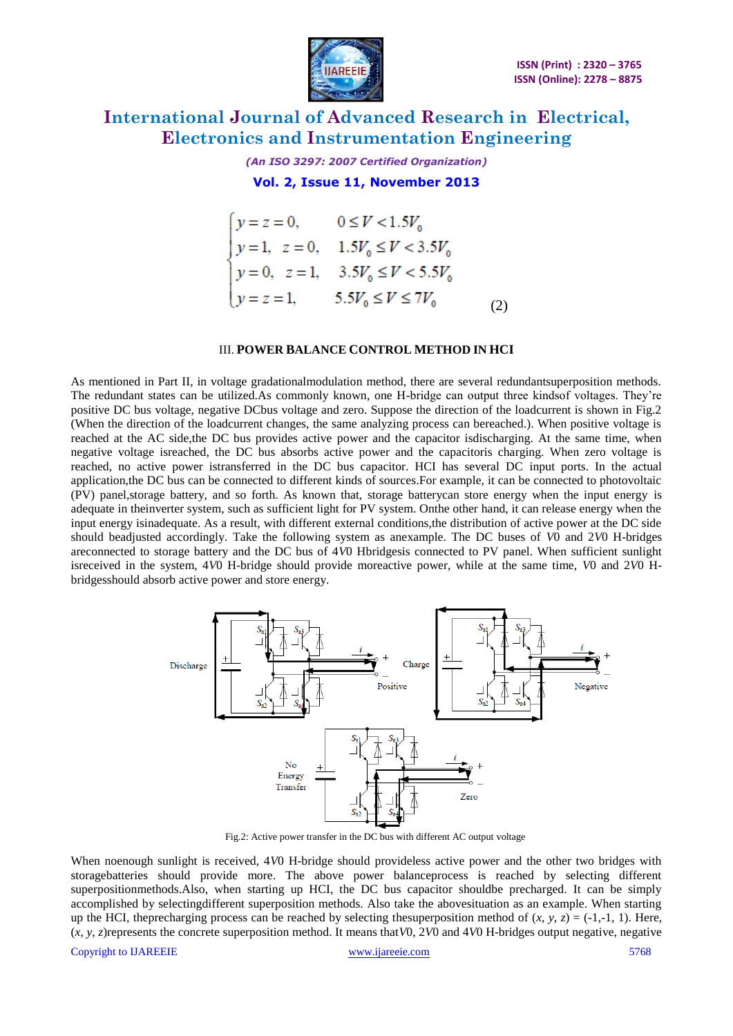

*(An ISO 3297: 2007 Certified Organization)*

**Vol. 2, Issue 11, November 2013**

$$
\begin{cases}\ny = z = 0, & 0 \le V < 1.5V_0 \\
y = 1, z = 0, & 1.5V_0 \le V < 3.5V_0 \\
y = 0, z = 1, & 3.5V_0 \le V < 5.5V_0 \\
y = z = 1, & 5.5V_0 \le V \le 7V_0\n\end{cases}
$$
\n(2)

#### III. **POWER BALANCE CONTROL METHOD IN HCI**

As mentioned in Part II, in voltage gradationalmodulation method, there are several redundantsuperposition methods. The redundant states can be utilized.As commonly known, one H-bridge can output three kindsof voltages. They"re positive DC bus voltage, negative DCbus voltage and zero. Suppose the direction of the loadcurrent is shown in Fig.2 (When the direction of the loadcurrent changes, the same analyzing process can bereached.). When positive voltage is reached at the AC side,the DC bus provides active power and the capacitor isdischarging. At the same time, when negative voltage isreached, the DC bus absorbs active power and the capacitoris charging. When zero voltage is reached, no active power istransferred in the DC bus capacitor. HCI has several DC input ports. In the actual application,the DC bus can be connected to different kinds of sources.For example, it can be connected to photovoltaic (PV) panel,storage battery, and so forth. As known that, storage batterycan store energy when the input energy is adequate in theinverter system, such as sufficient light for PV system. Onthe other hand, it can release energy when the input energy isinadequate. As a result, with different external conditions,the distribution of active power at the DC side should beadjusted accordingly. Take the following system as anexample. The DC buses of *V*0 and 2*V*0 H-bridges areconnected to storage battery and the DC bus of 4*V*0 Hbridgesis connected to PV panel. When sufficient sunlight isreceived in the system, 4*V*0 H-bridge should provide moreactive power, while at the same time, *V*0 and 2*V*0 Hbridgesshould absorb active power and store energy.



Fig.2: Active power transfer in the DC bus with different AC output voltage

When noenough sunlight is received, 4*V*0 H-bridge should provideless active power and the other two bridges with storagebatteries should provide more. The above power balanceprocess is reached by selecting different superpositionmethods. Also, when starting up HCI, the DC bus capacitor shouldbe precharged. It can be simply accomplished by selectingdifferent superposition methods. Also take the abovesituation as an example. When starting up the HCI, the precharging process can be reached by selecting the superposition method of  $(x, y, z) = (-1, -1, 1)$ . Here, (*x*, *y*, *z*)represents the concrete superposition method. It means that*V*0, 2*V*0 and 4*V*0 H-bridges output negative, negative

Copyright to IJAREEIE [www.ijareeie.com](http://www.ijareeie.com/) 5768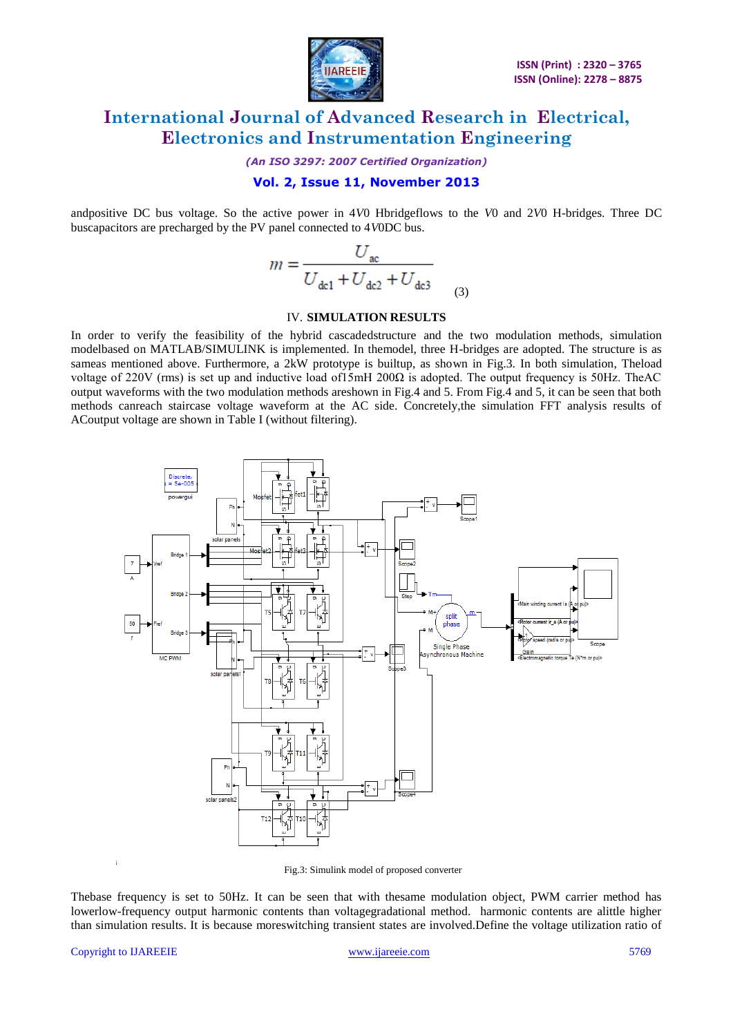

*(An ISO 3297: 2007 Certified Organization)*

## **Vol. 2, Issue 11, November 2013**

andpositive DC bus voltage. So the active power in 4*V*0 Hbridgeflows to the *V*0 and 2*V*0 H-bridges. Three DC buscapacitors are precharged by the PV panel connected to 4*V*0DC bus.

$$
m = \frac{U_{ac}}{U_{dc1} + U_{dc2} + U_{dc3}}
$$
 (3)

#### IV. **SIMULATION RESULTS**

In order to verify the feasibility of the hybrid cascadedstructure and the two modulation methods, simulation modelbased on MATLAB/SIMULINK is implemented. In themodel, three H-bridges are adopted. The structure is as sameas mentioned above. Furthermore, a 2kW prototype is builtup, as shown in Fig.3. In both simulation, Theload voltage of 220V (rms) is set up and inductive load of15mH 200Ω is adopted. The output frequency is 50Hz. TheAC output waveforms with the two modulation methods areshown in Fig.4 and 5. From Fig.4 and 5, it can be seen that both methods canreach staircase voltage waveform at the AC side. Concretely,the simulation FFT analysis results of ACoutput voltage are shown in Table I (without filtering).



Fig.3: Simulink model of proposed converter

Thebase frequency is set to 50Hz. It can be seen that with thesame modulation object, PWM carrier method has lowerlow-frequency output harmonic contents than voltagegradational method. harmonic contents are alittle higher than simulation results. It is because moreswitching transient states are involved.Define the voltage utilization ratio of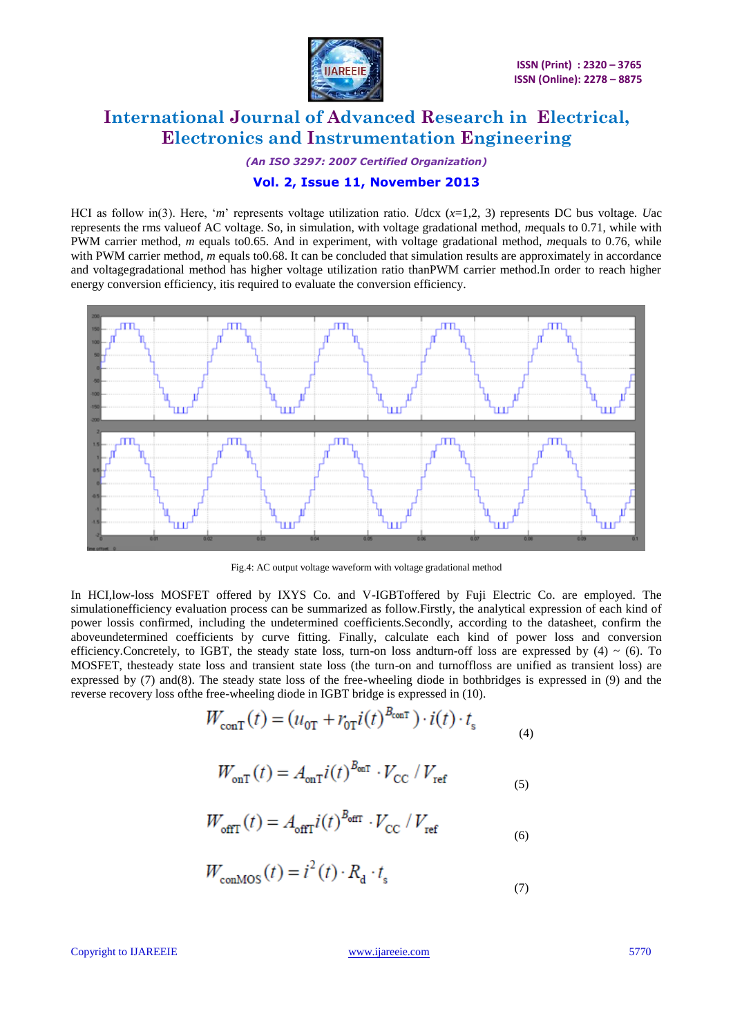

*(An ISO 3297: 2007 Certified Organization)*

## **Vol. 2, Issue 11, November 2013**

HCI as follow in(3). Here, "*m*" represents voltage utilization ratio. *U*dcx (*x*=1,2, 3) represents DC bus voltage. *U*ac represents the rms valueof AC voltage. So, in simulation, with voltage gradational method, *m*equals to 0.71, while with PWM carrier method, *m* equals to0.65. And in experiment, with voltage gradational method, *m*equals to 0.76, while with PWM carrier method, *m* equals to0.68. It can be concluded that simulation results are approximately in accordance and voltagegradational method has higher voltage utilization ratio thanPWM carrier method.In order to reach higher energy conversion efficiency, itis required to evaluate the conversion efficiency.



Fig.4: AC output voltage waveform with voltage gradational method

In HCI,low-loss MOSFET offered by IXYS Co. and V-IGBToffered by Fuji Electric Co. are employed. The simulationefficiency evaluation process can be summarized as follow.Firstly, the analytical expression of each kind of power lossis confirmed, including the undetermined coefficients.Secondly, according to the datasheet, confirm the aboveundetermined coefficients by curve fitting. Finally, calculate each kind of power loss and conversion efficiency.Concretely, to IGBT, the steady state loss, turn-on loss and turn-off loss are expressed by  $(4) \sim (6)$ . To MOSFET, thesteady state loss and transient state loss (the turn-on and turnoffloss are unified as transient loss) are expressed by (7) and(8). The steady state loss of the free-wheeling diode in bothbridges is expressed in (9) and the reverse recovery loss ofthe free-wheeling diode in IGBT bridge is expressed in (10).

$$
W_{\text{conf}}(t) = (u_{0\text{T}} + r_{0\text{T}}i(t)^{B_{\text{conf}}} ) \cdot i(t) \cdot t_{\text{s}}
$$
 (4)

$$
W_{\text{onT}}(t) = A_{\text{onT}} i(t)^{B_{\text{onT}}} \cdot V_{\text{CC}} / V_{\text{ref}}
$$

$$
W_{\text{offT}}(t) = A_{\text{offT}} i(t)^{B_{\text{offT}}} \cdot V_{\text{CC}} / V_{\text{ref}}
$$

$$
W_{\text{conMOS}}(t) = i^2(t) \cdot R_{\text{d}} \cdot t_{\text{s}}
$$
\n<sup>(7)</sup>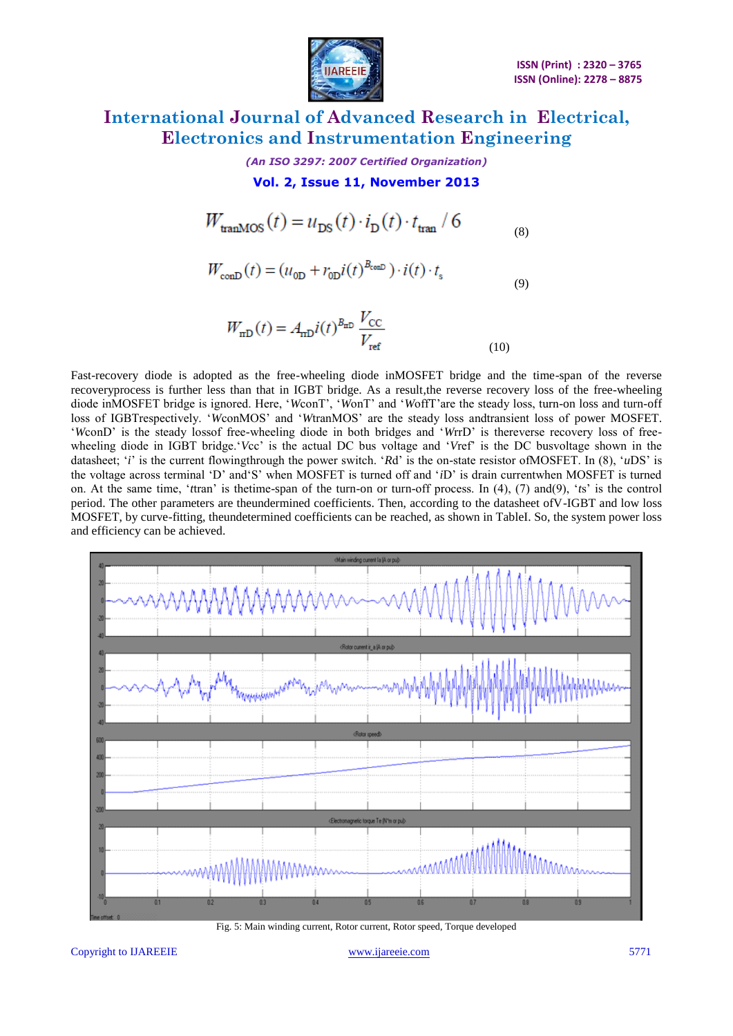

*(An ISO 3297: 2007 Certified Organization)*

**Vol. 2, Issue 11, November 2013**

$$
W_{\text{tranMOS}}(t) = u_{\text{DS}}(t) \cdot i_{\text{D}}(t) \cdot t_{\text{tran}} / 6
$$
 (8)

$$
W_{\text{conD}}(t) = (u_{0\text{D}} + r_{0\text{D}}i(t)^{B_{\text{conD}}}) \cdot i(t) \cdot t_{\text{s}}
$$
\n(9)

$$
W_{\rm mD}(t) = A_{\rm mD} i(t)^{B_{\rm mD}} \frac{V_{\rm CC}}{V_{\rm ref}}
$$
\n(10)

Fast-recovery diode is adopted as the free-wheeling diode inMOSFET bridge and the time-span of the reverse recoveryprocess is further less than that in IGBT bridge. As a result,the reverse recovery loss of the free-wheeling diode inMOSFET bridge is ignored. Here, "*W*conT", "*W*onT" and "*W*offT"are the steady loss, turn-on loss and turn-off loss of IGBTrespectively. "*W*conMOS" and "*W*tranMOS" are the steady loss andtransient loss of power MOSFET. "*W*conD" is the steady lossof free-wheeling diode in both bridges and "*W*rrD" is thereverse recovery loss of freewheeling diode in IGBT bridge."*V*cc" is the actual DC bus voltage and "*V*ref" is the DC busvoltage shown in the datasheet; '*i*' is the current flowingthrough the power switch. '*Rd*' is the on-state resistor ofMOSFET. In (8), '*u*DS' is the voltage across terminal "D" and"S" when MOSFET is turned off and "*i*D" is drain currentwhen MOSFET is turned on. At the same time, "*t*tran" is thetime-span of the turn-on or turn-off process. In (4), (7) and(9), "*t*s" is the control period. The other parameters are theundermined coefficients. Then, according to the datasheet ofV-IGBT and low loss MOSFET, by curve-fitting, theundetermined coefficients can be reached, as shown in TableI. So, the system power loss and efficiency can be achieved.



Fig. 5: Main winding current, Rotor current, Rotor speed, Torque developed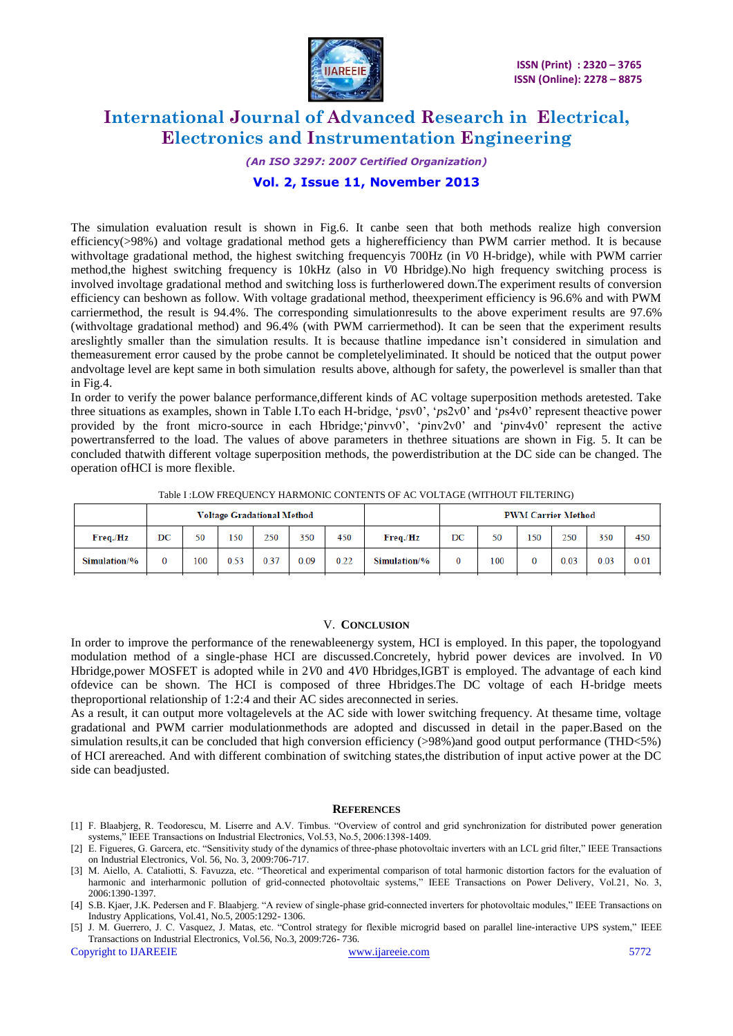

#### *(An ISO 3297: 2007 Certified Organization)*

## **Vol. 2, Issue 11, November 2013**

The simulation evaluation result is shown in Fig.6. It canbe seen that both methods realize high conversion efficiency(>98%) and voltage gradational method gets a higherefficiency than PWM carrier method. It is because withvoltage gradational method, the highest switching frequencyis 700Hz (in *V*0 H-bridge), while with PWM carrier method,the highest switching frequency is 10kHz (also in *V*0 Hbridge).No high frequency switching process is involved involtage gradational method and switching loss is furtherlowered down.The experiment results of conversion efficiency can beshown as follow. With voltage gradational method, theexperiment efficiency is 96.6% and with PWM carriermethod, the result is 94.4%. The corresponding simulationresults to the above experiment results are 97.6% (withvoltage gradational method) and 96.4% (with PWM carriermethod). It can be seen that the experiment results areslightly smaller than the simulation results. It is because that line impedance isn't considered in simulation and themeasurement error caused by the probe cannot be completelyeliminated. It should be noticed that the output power andvoltage level are kept same in both simulation results above, although for safety, the powerlevel is smaller than that in Fig.4.

In order to verify the power balance performance,different kinds of AC voltage superposition methods aretested. Take three situations as examples, shown in Table I.To each H-bridge, "*p*sv0", "*p*s2v0" and "*p*s4v0" represent theactive power provided by the front micro-source in each Hbridge; *pinvv0*', '*pinv2v0*' and '*pinv4v0*' represent the active powertransferred to the load. The values of above parameters in thethree situations are shown in Fig. 5. It can be concluded thatwith different voltage superposition methods, the powerdistribution at the DC side can be changed. The operation ofHCI is more flexible.

|              | Voltage Gradational Method |     |      |      |      |      |              | <b>PWM Carrier Method</b> |     |     |      |      |      |
|--------------|----------------------------|-----|------|------|------|------|--------------|---------------------------|-----|-----|------|------|------|
| Freq.Hz      | DC                         | 50  | 150  | 250  | 350  | 450  | Freq./Hz     | DC                        | 50  | 150 | 250  | 350  | 450  |
| Simulation/% |                            | 100 | 0.53 | 0.37 | 0.09 | 0.22 | Simulation/% |                           | 100 |     | 0.03 | 0.03 | 0.01 |

Table I :LOW FREQUENCY HARMONIC CONTENTS OF AC VOLTAGE (WITHOUT FILTERING)

#### V. **CONCLUSION**

In order to improve the performance of the renewableenergy system, HCI is employed. In this paper, the topologyand modulation method of a single-phase HCI are discussed.Concretely, hybrid power devices are involved. In *V*0 Hbridge,power MOSFET is adopted while in 2*V*0 and 4*V*0 Hbridges,IGBT is employed. The advantage of each kind ofdevice can be shown. The HCI is composed of three Hbridges.The DC voltage of each H-bridge meets theproportional relationship of 1:2:4 and their AC sides areconnected in series.

As a result, it can output more voltagelevels at the AC side with lower switching frequency. At thesame time, voltage gradational and PWM carrier modulationmethods are adopted and discussed in detail in the paper.Based on the simulation results, it can be concluded that high conversion efficiency (>98%) and good output performance (THD<5%) of HCI arereached. And with different combination of switching states,the distribution of input active power at the DC side can beadjusted.

#### **REFERENCES**

- [1] F. Blaabjerg, R. Teodorescu, M. Liserre and A.V. Timbus. "Overview of control and grid synchronization for distributed power generation systems," IEEE Transactions on Industrial Electronics, Vol.53, No.5, 2006:1398-1409.
- [2] E. Figueres, G. Garcera, etc. "Sensitivity study of the dynamics of three-phase photovoltaic inverters with an LCL grid filter," IEEE Transactions on Industrial Electronics, Vol. 56, No. 3, 2009:706-717.
- [3] M. Aiello, A. Cataliotti, S. Favuzza, etc. "Theoretical and experimental comparison of total harmonic distortion factors for the evaluation of harmonic and interharmonic pollution of grid-connected photovoltaic systems," IEEE Transactions on Power Delivery, Vol.21, No. 3, 2006:1390-1397.
- [4] S.B. Kjaer, J.K. Pedersen and F. Blaabjerg. "A review of single-phase grid-connected inverters for photovoltaic modules," IEEE Transactions on Industry Applications, Vol.41, No.5, 2005:1292- 1306.
- [5] J. M. Guerrero, J. C. Vasquez, J. Matas, etc. "Control strategy for flexible microgrid based on parallel line-interactive UPS system," IEEE Transactions on Industrial Electronics, Vol.56, No.3, 2009:726- 736.

Copyright to IJAREEIE [www.ijareeie.com](http://www.ijareeie.com/) 5772